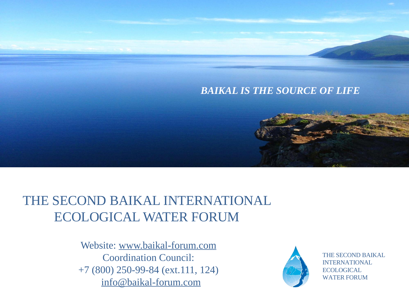#### *BAIKAL IS THE SOURCE OF LIFE*

# THE SECOND BAIKAL INTERNATIONAL ECOLOGICAL WATER FORUM

Website: www.baikal-forum.com Coordination Council: +7 (800) 250-99-84 (ext.111, 124) info@baikal-forum.com



THE SECOND BAIKAL INTERNATIONAL **ECOLOGICAL** WATER FORUM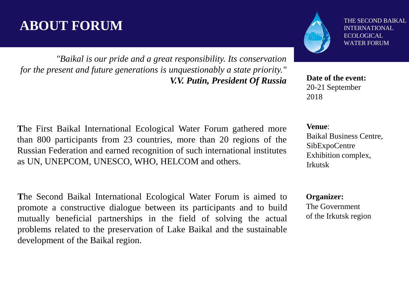## **ABOUT FORUM**

*"Baikal is our pride and a great responsibility. Its conservation for the present and future generations is unquestionably a state priority." V.V. Putin, President Of Russia* **Date of the event:** 

THE SECOND BAIKAL INTERNATIONAL ECOLOGICAL WATER FORUM

20-21 September 2018

**Venue**:

Baikal Business Centre, SibExpoCentre Exhibition complex, Irkutsk

**Organizer:** The Government of the Irkutsk region

**T**he First Baikal International Ecological Water Forum gathered more than 800 participants from 23 countries, more than 20 regions of the Russian Federation and earned recognition of such international institutes as UN, UNEPCOM, UNESCO, WHO, HELCOM and others.

**T**he Second Baikal International Ecological Water Forum is aimed to promote a constructive dialogue between its participants and to build mutually beneficial partnerships in the field of solving the actual problems related to the preservation of Lake Baikal and the sustainable development of the Baikal region.

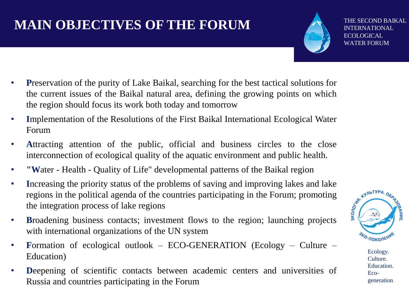# **MAIN OBJECTIVES OF THE FORUM**

THE SECOND BAIKAL INTERNATIONAL **ECOLOGICAL** WATER FORUM

- **Preservation of the purity of Lake Baikal, searching for the best tactical solutions for** the current issues of the Baikal natural area, defining the growing points on which the region should focus its work both today and tomorrow
- **I**mplementation of the Resolutions of the First Baikal International Ecological Water Forum
- Attracting attention of the public, official and business circles to the close interconnection of ecological quality of the aquatic environment and public health.
- **"W**ater Health Quality of Life" developmental patterns of the Baikal region
- **Increasing the priority status of the problems of saving and improving lakes and lake** regions in the political agenda of the countries participating in the Forum; promoting the integration process of lake regions **Broa** regions in the political agenda of the countries participating in the Forum; promoting the integration process of lake regions
- **B**roadening business contacts; investment flows to the region; launching projects with international organizations of the UN system
- **Formation** of ecological outlook ECO-GENERATION (Ecology Culture Education)
- **D**eepening of scientific contacts between academic centers and universities of Russia and countries participating in the Forum



Ecology. Culture. Education. Ecogeneration.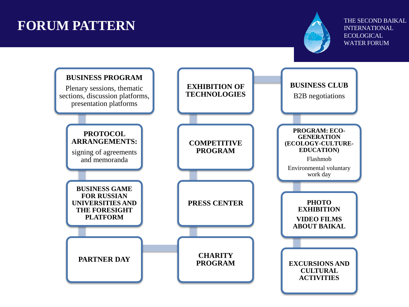# **FORUM PATTERN**



THE SECOND BAIKAL INTERNATIONAL ECOLOGICAL WATER FORUM

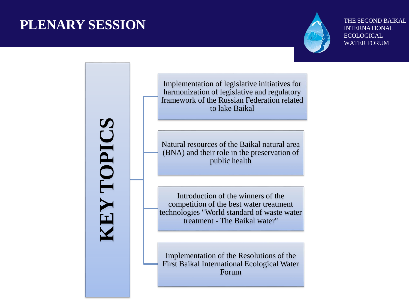#### **PLENARY SESSION**



THE SECOND BAIKAL INTERNATIONAL ECOLOGICAL WATER FORUM

**KEY TOPICS**

Implementation of legislative initiatives for harmonization of legislative and regulatory framework of the Russian Federation related to lake Baikal

Natural resources of the Baikal natural area (BNA) and their role in the preservation of public health

Introduction of the winners of the competition of the best water treatment technologies "World standard of waste water treatment - The Baikal water"

Implementation of the Resolutions of the First Baikal International Ecological Water Forum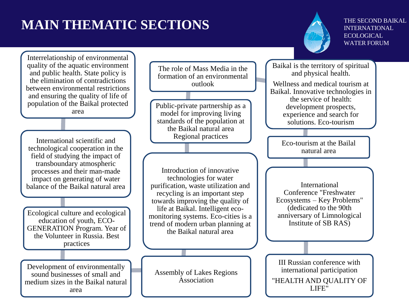# **MAIN THEMATIC SECTIONS**



THE SECOND BAIKAL INTERNATIONAL ECOLOGICAL. WATER FORUM

Interrelationship of environmental quality of the aquatic environment and public health. State policy is the elimination of contradictions between environmental restrictions and ensuring the quality of life of population of the Baikal protected area

International scientific and technological cooperation in the field of studying the impact of transboundary atmospheric processes and their man-made impact on generating of water balance of the Baikal natural area

Ecological culture and ecological education of youth, ECO-GENERATION Program. Year of the Volunteer in Russia. Best practices

Development of environmentally sound businesses of small and medium sizes in the Baikal natural area

The role of Mass Media in the formation of an environmental outlook

Public-private partnership as a model for improving living standards of the population at the Baikal natural area Regional practices

Introduction of innovative technologies for water purification, waste utilization and recycling is an important step towards improving the quality of life at Baikal. Intelligent ecomonitoring systems. Eco-cities is a trend of modern urban planning at the Baikal natural area

Assembly of Lakes Regions Association

Baikal is the territory of spiritual and physical health. Wellness and medical tourism at Baikal. Innovative technologies in the service of health: development prospects, experience and search for solutions. Eco-tourism

> Eco-tourism at the Bailal natural area

International Conference "Freshwater Ecosystems – Key Problems" (dedicated to the 90th anniversary of Limnological Institute of SB RAS)

III Russian conference with international participation "HEALTH AND QUALITY OF LIFE"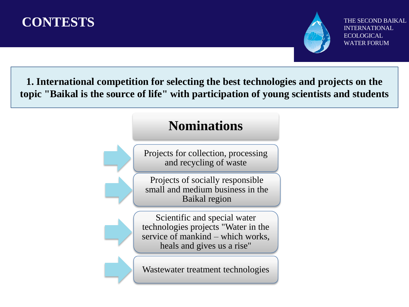



THE SECOND BAIKAL **ERNATIONAL ECOLOGICAL** WATER FORUM

**1. International competition for selecting the best technologies and projects on the topic "Baikal is the source of life" with participation of young scientists and students** 

#### **Nominations**

Projects for collection, processing and recycling of waste

Projects of socially responsible small and medium business in the Baikal region

Scientific and special water technologies projects "Water in the service of mankind – which works, heals and gives us a rise"

Wastewater treatment technologies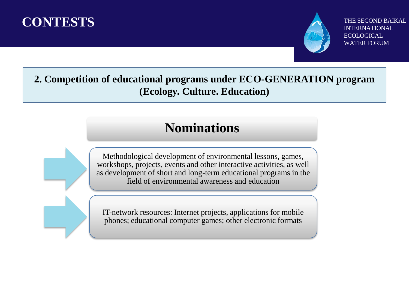



THE SECOND BAIKAL INTERNATIONAL **ECOLOGICAL** WATER FORUM

**2. Competition of educational programs under ECO-GENERATION program (Ecology. Culture. Education)** 

### **Nominations**

Methodological development of environmental lessons, games, workshops, projects, events and other interactive activities, as well as development of short and long-term educational programs in the field of environmental awareness and education

IT-network resources: Internet projects, applications for mobile phones; educational computer games; other electronic formats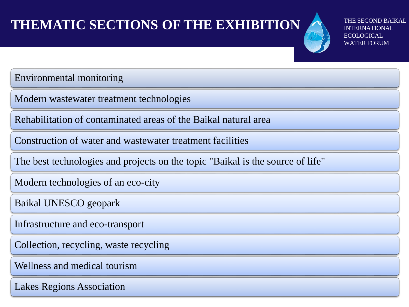# **THEMATIC SECTIONS OF THE EXHIBITION**



IND BAIKAL RNATIONAL. ECOLOGICAL WATER FORUM

Environmental monitoring

Modern wastewater treatment technologies

Rehabilitation of contaminated areas of the Baikal natural area

Construction of water and wastewater treatment facilities

The best technologies and projects on the topic "Baikal is the source of life"

Modern technologies of an eco-city

Baikal UNESCO geopark

Infrastructure and eco-transport

Collection, recycling, waste recycling

Wellness and medical tourism

Lakes Regions Association